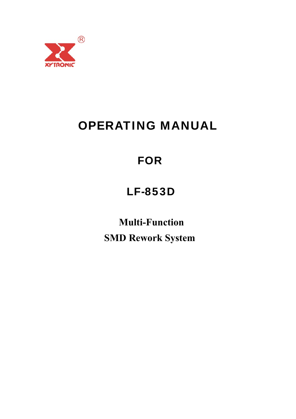

# OPERATING MANUAL

# FOR

# LF-853D

**Multi-Function SMD Rework System**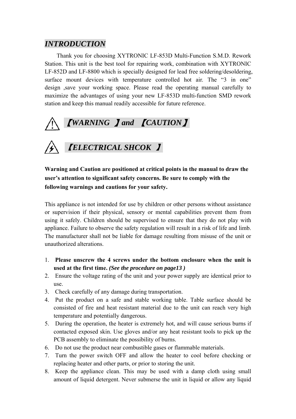# *INTRODUCTION*

Thank you for choosing XYTRONIC LF-853D Multi-Function S.M.D. Rework Station. This unit is the best tool for repairing work, combination with XYTRONIC LF-852D and LF-8800 which is specially designed for lead free soldering/desoldering, surface mount devices with temperature controlled hot air. The "3 in one" design ,save your working space. Please read the operating manual carefully to maximize the advantages of using your new LF-853D multi-function SMD rework station and keep this manual readily accessible for future reference.



**Warning and Caution are positioned at critical points in the manual to draw the user's attention to significant safety concerns. Be sure to comply with the following warnings and cautions for your safety.** 

This appliance is not intended for use by children or other persons without assistance or supervision if their physical, sensory or mental capabilities prevent them from using it safely. Children should be supervised to ensure that they do not play with appliance. Failure to observe the safety regulation will result in a risk of life and limb. The manufacturer shall not be liable for damage resulting from misuse of the unit or unauthorized alterations.

- 1. **Please unscrew the 4 screws under the bottom enclosure when the unit is used at the first time.** *(See the procedure on page13 )*
- 2. Ensure the voltage rating of the unit and your power supply are identical prior to use.
- 3. Check carefully of any damage during transportation.
- 4. Put the product on a safe and stable working table. Table surface should be consisted of fire and heat resistant material due to the unit can reach very high temperature and potentially dangerous.
- 5. During the operation, the heater is extremely hot, and will cause serious burns if contacted exposed skin. Use gloves and/or any heat resistant tools to pick up the PCB assembly to eliminate the possibility of burns.
- 6. Do not use the product near combustible gases or flammable materials.
- 7. Turn the power switch OFF and allow the heater to cool before checking or replacing heater and other parts, or prior to storing the unit.
- 8. Keep the appliance clean. This may be used with a damp cloth using small amount of liquid detergent. Never submerse the unit in liquid or allow any liquid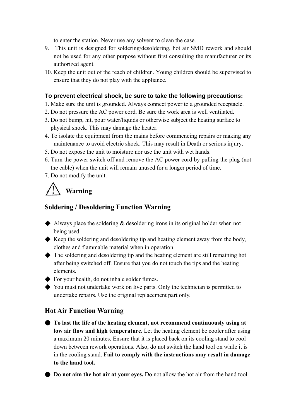to enter the station. Never use any solvent to clean the case.

- 9. This unit is designed for soldering/desoldering, hot air SMD rework and should not be used for any other purpose without first consulting the manufacturer or its authorized agent.
- 10. Keep the unit out of the reach of children. Young children should be supervised to ensure that they do not play with the appliance.

#### **To prevent electrical shock, be sure to take the following precautions:**

- 1. Make sure the unit is grounded. Always connect power to a grounded receptacle.
- 2. Do not pressure the AC power cord. Be sure the work area is well ventilated.
- 3. Do not bump, hit, pour water/liquids or otherwise subject the heating surface to physical shock. This may damage the heater.
- 4. To isolate the equipment from the mains before commencing repairs or making any maintenance to avoid electric shock. This may result in Death or serious injury.
- 5. Do not expose the unit to moisture nor use the unit with wet hands.
- 6. Turn the power switch off and remove the AC power cord by pulling the plug (not the cable) when the unit will remain unused for a longer period of time.
- 7. Do not modify the unit.

# **Warning**

# **Soldering / Desoldering Function Warning**

- $\blacklozenge$  Always place the soldering  $\&$  desoldering irons in its original holder when not being used.
- ◆ Keep the soldering and desoldering tip and heating element away from the body, clothes and flammable material when in operation.
- ◆ The soldering and desoldering tip and the heating element are still remaining hot after being switched off. Ensure that you do not touch the tips and the heating elements.
- ◆ For your health, do not inhale solder fumes.
- ◆ You must not undertake work on live parts. Only the technician is permitted to undertake repairs. Use the original replacement part only.

# **Hot Air Function Warning**

- **To last the life of the heating element, not recommend continuously using at low air flow and high temperature.** Let the heating element be cooler after using a maximum 20 minutes. Ensure that it is placed back on its cooling stand to cool down between rework operations. Also, do not switch the hand tool on while it is in the cooling stand. **Fail to comply with the instructions may result in damage to the hand tool.** 
	- **Do not aim the hot air at your eyes.** Do not allow the hot air from the hand tool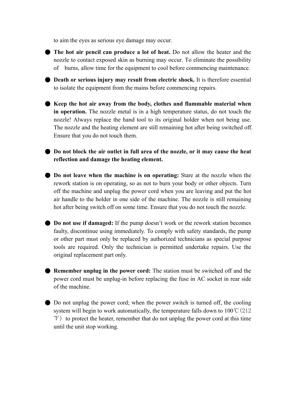to aim the eyes as serious eye damage may occur.

● **The hot air pencil can produce a lot of heat.** Do not allow the heater and the nozzle to contact exposed skin as burning may occur. To eliminate the possibility of burns, allow time for the equipment to cool before commencing maintenance.

● **Death or serious injury may result from electric shock.** It is therefore essential to isolate the equipment from the mains before commencing repairs.

● Keep the hot air away from the body, clothes and flammable material when **in operation.** The nozzle metal is in a high temperature status, do not touch the nozzle! Always replace the hand tool to its original holder when not being use. The nozzle and the heating element are still remaining hot after being switched off. Ensure that you do not touch them.

● **Do not block the air outlet in full area of the nozzle, or it may cause the heat reflection and damage the heating element.** 

● **Do not leave when the machine is on operating:** Stare at the nozzle when the rework station is on operating, so as not to burn your body or other objects. Turn off the machine and unplug the power cord when you are leaving and put the hot air handle to the holder in one side of the machine. The nozzle is still remaining hot after being switch off on some time. Ensure that you do not touch the nozzle.

● **Do not use if damaged:** If the pump doesn't work or the rework station becomes faulty, discontinue using immediately. To comply with safety standards, the pump or other part must only be replaced by authorized technicians as special purpose tools are required. Only the technician is permitted undertake repairs. Use the original replacement part only.

● **Remember unplug in the power cord:** The station must be switched off and the power cord must be unplug-in before replacing the fuse in AC socket in rear side of the machine.

● Do not unplug the power cord; when the power switch is turned off, the cooling system will begin to work automatically, the temperature falls down to  $100^{\circ}C(212)$ ℉) to protect the heater, remember that do not unplug the power cord at this time until the unit stop working.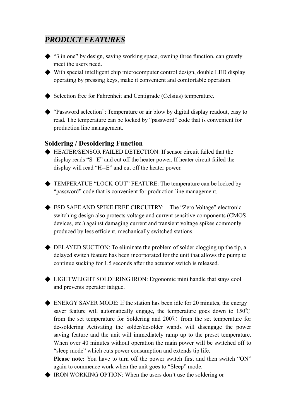# *PRODUCT FEATURES*

- ◆ "3 in one" by design, saving working space, owning three function, can greatly meet the users need.
- ◆ With special intelligent chip microcomputer control design, double LED display operating by pressing keys, make it convenient and comfortable operation.
- ◆ Selection free for Fahrenheit and Centigrade (Celsius) temperature.
- ◆ "Password selection": Temperature or air blow by digital display readout, easy to read. The temperature can be locked by "password" code that is convenient for production line management.

#### **Soldering / Desoldering Function**

- ◆ HEATER/SENSOR FAILED DETECTION: If sensor circuit failed that the display reads "S--E" and cut off the heater power. If heater circuit failed the display will read "H--E" and cut off the heater power.
- ◆ TEMPERATUE "LOCK-OUT" FEATURE: The temperature can be locked by "password" code that is convenient for production line management.
- ◆ ESD SAFE AND SPIKE FREE CIRCUITRY: The "Zero Voltage" electronic switching design also protects voltage and current sensitive components (CMOS devices, etc.) against damaging current and transient voltage spikes commonly produced by less efficient, mechanically switched stations.
- ◆ DELAYED SUCTION: To eliminate the problem of solder clogging up the tip, a delayed switch feature has been incorporated for the unit that allows the pump to continue sucking for 1.5 seconds after the actuator switch is released.
- ◆ LIGHTWEIGHT SOLDERING IRON: Ergonomic mini handle that stays cool and prevents operator fatigue.
- ◆ ENERGY SAVER MODE: If the station has been idle for 20 minutes, the energy saver feature will automatically engage, the temperature goes down to  $150^{\circ}$ C from the set temperature for Soldering and 200℃ from the set temperature for de-soldering Activating the solder/desolder wands will disengage the power saving feature and the unit will immediately ramp up to the preset temperature. When over 40 minutes without operation the main power will be switched off to "sleep mode" which cuts power consumption and extends tip life.

**Please note:** You have to turn off the power switch first and then switch "ON" again to commence work when the unit goes to "Sleep" mode.

◆ IRON WORKING OPTION: When the users don't use the soldering or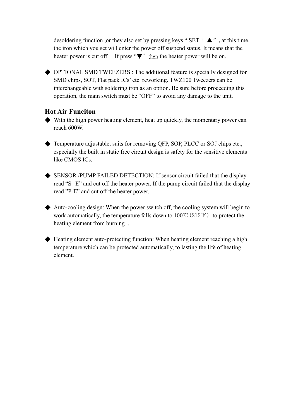desoldering function ,or they also set by pressing keys " $SET + \triangle$ ", at this time, the iron which you set will enter the power off suspend status. It means that the heater power is cut off. If press " $\nabla$ " then the heater power will be on.

◆ OPTIONAL SMD TWEEZERS : The additional feature is specially designed for SMD chips, SOT, Flat pack ICs' etc. reworking. TWZ100 Tweezers can be interchangeable with soldering iron as an option. Be sure before proceeding this operation, the main switch must be "OFF" to avoid any damage to the unit.

## **Hot Air Funciton**

- ◆ With the high power heating element, heat up quickly, the momentary power can reach 600W.
- ◆ Temperature adjustable, suits for removing QFP, SOP, PLCC or SOJ chips etc., especially the built in static free circuit design is safety for the sensitive elements like CMOS ICs.
- ◆ SENSOR /PUMP FAILED DETECTION: If sensor circuit failed that the display read "S--E" and cut off the heater power. If the pump circuit failed that the display read "P-E" and cut off the heater power.
- $\blacklozenge$  Auto-cooling design: When the power switch off, the cooling system will begin to work automatically, the temperature falls down to  $100^{\circ}C(212^{\circ}F)$  to protect the heating element from burning ..
- ◆ Heating element auto-protecting function: When heating element reaching a high temperature which can be protected automatically, to lasting the life of heating element.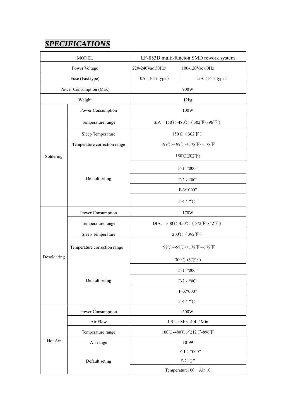# *SPECIFICATIONS*

| <b>MODEL</b>            |                              | LF-853D multi-functon SMD rework system |                 |
|-------------------------|------------------------------|-----------------------------------------|-----------------|
| Power Voltage           |                              | 220-240Vac 50Hz/                        | 100-120Vac 60Hz |
| Fuse (Fast type)        |                              | 10A (Fast type)                         | 15A (Fast type) |
| Power Consumption (Max) |                              | 900W                                    |                 |
| Weight                  |                              | 12kg                                    |                 |
| Soldering               | Power Consumption            | 100W                                    |                 |
|                         | Temperature range            | SIA: 150℃-480℃ (302°F-896°F)            |                 |
|                         | Sleep Temperature            | 150°C (302°F)                           |                 |
|                         | Temperature correction range | +99°C~-99°C/+178°F~-178°F               |                 |
|                         | Default seting               | $150^{\circ}$ C $(302^{\circ}F)$        |                 |
|                         |                              | F-1: "000"                              |                 |
|                         |                              | $F-2$ : "00"                            |                 |
|                         |                              | F-3:"000"                               |                 |
|                         |                              | F-4: "°C"                               |                 |
|                         | Power Consumption            | 170W                                    |                 |
|                         | Temperature range            | 300°C-450°C (572°F-842°F)<br>DIA:       |                 |
|                         | Sleep Temperature            | 200°C (392°F)                           |                 |
|                         | Temperature correction range | +99°C~-99°C/+178°F~-178°F               |                 |
| Desoldering             | Default seting               | 300°C (572°F)                           |                 |
|                         |                              | F-1: "000"                              |                 |
|                         |                              | $F-2$ : "00"                            |                 |
|                         |                              | F-3:"000"                               |                 |
|                         |                              | $F-4:``C"$                              |                 |
| Hot Air                 | Power Consumption            | 600W                                    |                 |
|                         | Air Flow                     | $1.5$ L / Min -40L / Min $\,$           |                 |
|                         | Temperature range            | 100℃-480℃/212°F-896°F                   |                 |
|                         | Air range                    | 10-99                                   |                 |
|                         | Default seting               | $F-1$ : "000"                           |                 |
|                         |                              | $F-2^{\alpha\circ}C$ "                  |                 |
|                         |                              | Temperature100<br>Air 10                |                 |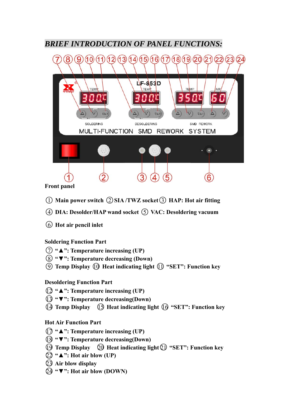# *BRIEF INTRODUCTION OF PANEL FUNCTIONS:*



**Front panel** 

- ○1 **Main power switch** ○<sup>2</sup> **SIA /TWZ socket**○3 **HAP: Hot air fitting**
- ○4 **DIA: Desolder/HAP wand socket** ○5 **VAC: Desoldering vacuum**
- ○6 **Hot air pencil inlet**

## **Soldering Function Part**

- ○<sup>7</sup> **"▲": Temperature increasing (UP)**
- ○<sup>8</sup> **"▼": Temperature decreasing (Down)**
- ○<sup>9</sup> **Temp Display** ○10 **Heat indicating light** ○<sup>11</sup> **"SET": Function key**

## **Desoldering Function Part**

- ○<sup>12</sup> **"▲": Temperature increasing (UP)**
- ○<sup>13</sup> **"▼": Temperature decreasing(Down)**
- ○<sup>14</sup> **Temp Display** ○15 **Heat indicating light** ○16 **"SET": Function key**

## **Hot Air Function Part**

- ○<sup>17</sup> **"▲": Temperature increasing (UP)**
- ○<sup>18</sup> **"▼": Temperature decreasing(Down)**
- ○<sup>19</sup> **Temp Display** ○20 **Heat indicating light**○21 **"SET": Function key**
- ○<sup>22</sup> **"▲": Hot air blow (UP)**
- ○23 **Air blow display**
- ○<sup>24</sup> **"▼": Hot air blow (DOWN)**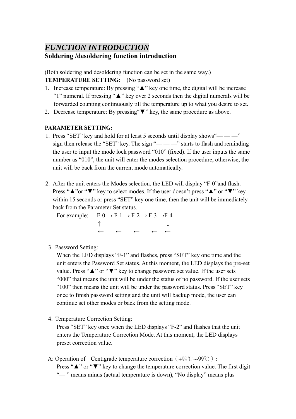## *FUNCTION INTRODUCTION*  **Soldering /desoldering function introduction**

(Both soldering and desoldering function can be set in the same way.) **TEMPERATURE SETTING:** (No password set)

- 1. Increase temperature: By pressing "▲" key one time, the digital will be increase "1" numeral. If pressing "▲" key over 2 seconds then the digital numerals will be forwarded counting continuously till the temperature up to what you desire to set.
- 2. Decrease temperature: By pressing "▼" key, the same procedure as above.

## **PARAMETER SETTING:**

- 1. Press "SET" key and hold for at least 5 seconds until display shows"— —" sign then release the "SET" key. The sign "— — —" starts to flash and reminding the user to input the mode lock password "010" (fixed). If the user inputs the same number as "010", the unit will enter the modes selection procedure, otherwise, the unit will be back from the current mode automatically.
- 2. After the unit enters the Modes selection, the LED will display "F-0"and flash. Press "∧"or "▼" key to select modes. If the user doesn't press "∧" or "▼" key within 15 seconds or press "SET" key one time, then the unit will be immediately back from the Parameter Set status.

For example:  $F-0 \rightarrow F-1 \rightarrow F-2 \rightarrow F-3 \rightarrow F-4$  $\uparrow$ ← ← ← ← ←

3. Password Setting:

When the LED displays "F-1" and flashes, press "SET" key one time and the unit enters the Password Set status. At this moment, the LED displays the pre-set value. Press "▲" or "▼" key to change password set value. If the user sets "000" that means the unit will be under the status of no password. If the user sets "100" then means the unit will be under the password status. Press "SET" key once to finish password setting and the unit will backup mode, the user can continue set other modes or back from the setting mode.

4. Temperature Correction Setting:

Press "SET" key once when the LED displays "F-2" and flashes that the unit enters the Temperature Correction Mode. At this moment, the LED displays preset correction value.

A: Operation of Centigrade temperature correction (+99℃~-99℃): Press "∧" or "▼" key to change the temperature correction value. The first digit "— " means minus (actual temperature is down), "No display" means plus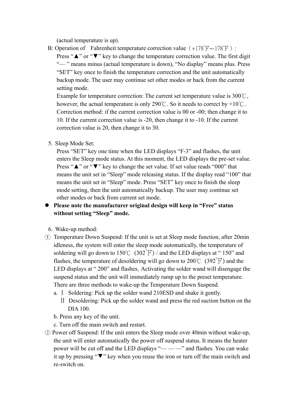(actual temperature is up).

B: Operation of Fahrenheit temperature correction value  $(+178^{\circ}$  F $\sim$ -178<sup>°</sup>F): Press "**△**" or "▼" key to change the temperature correction value. The first digit "-" means minus (actual temperature is down), "No display" means plus. Press "SET" key once to finish the temperature correction and the unit automatically backup mode. The user may continue set other modes or back from the current setting mode.

Example for temperature correction: The current set temperature value is 300℃, however, the actual temperature is only 290°C. So it needs to correct by +10°C. Correction method: if the current correction value is 00 or -00; then change it to 10. If the current correction value is -20, then change it to -10. If the current correction value is 20, then change it to 30.

5. Sleep Mode Set:

Press "SET" key one time when the LED displays "F-3" and flashes, the unit enters the Sleep mode status. At this moment, the LED displays the pre-set value. Press "∧" or "▼" key to change the set value. If set value reads "000" that means the unit set in "Sleep" mode releasing status. If the display read "100" that means the unit set in "Sleep" mode. Press "SET" key once to finish the sleep mode setting, then the unit automatically backup. The user may continue set other modes or back from current set mode.

#### **Please note the manufacturer original design will keep in "Free" status without setting "Sleep" mode.**

- 6. Wake-up method:
- ① Temperature Down Suspend: If the unit is set at Sleep mode function, after 20min idleness, the system will enter the sleep mode automatically, the temperature of soldering will go down to  $150^{\circ}$  (302 $^{\circ}$ F) / and the LED displays at "150" and flashes, the temperature of desoldering will go down to  $200^{\circ}$  (392 $^{\circ}$ F) and the LED displays at " 200" and flashes. Activating the solder wand will disengage the suspend status and the unit will immediately ramp up to the preset temperature. There are three methods to wake-up the Temperature Down Suspend.
	- a.Ⅰ Soldering: Pick up the solder wand 210ESD and shake it gently.
		- Ⅱ Desoldering: Pick up the solder wand and press the red suction button on the DIA 100.
	- b. Press any key of the unit.
	- c. Turn off the main switch and restart.
- ○2 Power off Suspend: If the unit enters the Sleep mode over 40min without wake-up, the unit will enter automatically the power off suspend status. It means the heater power will be cut off and the LED displays "— — —" and flashes. You can wake it up by pressing "▼" key when you reuse the iron or turn off the main switch and re-switch on.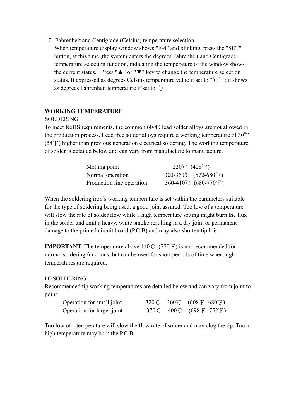7. Fahrenheit and Centigrade (Celsius) temperature selection When temperature display window shows "F-4" and blinking, press the "SET" button, at this time ,the system enters the degrees Fahrenheit and Centigrade temperature selection function, indicating the temperature of the window shows the current status. Press " $\triangle$ " or " $\nabla$ " key to change the temperature selection status. It expressed as degrees Celsius temperature value if set to "℃"; it shows as degrees Fahrenheit temperature if set to ℉

#### **WORKING TEMPERATURE**

#### SOLDERING

To meet RoHS requirements, the common 60/40 lead solder alloys are not allowed in the production process. Lead free solder alloys require a working temperature of 30℃ (54℉) higher than previous generation electrical soldering. The working temperature of solder is detailed below and can vary from manufacture to manufacture.

| Melting point             | 220°C $(428^{\circ}F)$ |
|---------------------------|------------------------|
| Normal operation          | 300-360°C (572-680°F)  |
| Production line operation | 360-410°C (680-770°F)  |

When the soldering iron's working temperature is set within the parameters suitable for the type of soldering being used, a good joint assured. Too low of a temperature will slow the rate of solder flow while a high temperature setting might burn the flux in the solder and emit a heavy, white smoke resulting in a dry joint or permanent damage to the printed circuit board (P.C.B) and may also shorten tip life.

**IMPORTANT**: The temperature above 410℃ (770℉) is not recommended for normal soldering functions, but can be used for short periods of time when high temperatures are required.

#### DESOLDERING

Recommended tip working temperatures are detailed below and can vary from joint to point.

| Operation for small joint  | 320°C - 360°C (608°F-680°F)   |
|----------------------------|-------------------------------|
| Operation for larger joint | 370°C - 400°C (698°F - 752°F) |

Too low of a temperature will slow the flow rate of solder and may clog the tip. Too a high temperature may burn the P.C.B.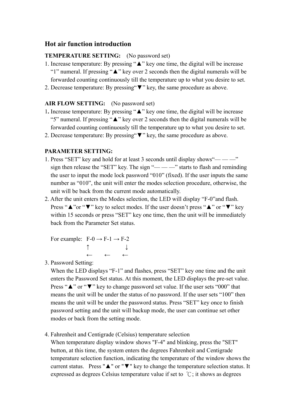## **Hot air function introduction**

#### **TEMPERATURE SETTING:** (No password set)

- 1. Increase temperature: By pressing "▲" key one time, the digital will be increase "1" numeral. If pressing "▲" key over 2 seconds then the digital numerals will be forwarded counting continuously till the temperature up to what you desire to set.
- 2. Decrease temperature: By pressing"▼" key, the same procedure as above.

#### **AIR FLOW SETTING:** (No password set)

- 1**.** Increase temperature: By pressing "▲" key one time, the digital will be increase "5" numeral. If pressing "▲" key over 2 seconds then the digital numerals will be forwarded counting continuously till the temperature up to what you desire to set.
- 2. Decrease temperature: By pressing"▼" key, the same procedure as above.

#### **PARAMETER SETTING:**

- 1. Press "SET" key and hold for at least 3 seconds until display shows"— —" sign then release the "SET" key. The sign " $\frac{m}{m}$  +  $\frac{m}{m}$ " starts to flash and reminding the user to input the mode lock password "010" (fixed). If the user inputs the same number as "010", the unit will enter the modes selection procedure, otherwise, the unit will be back from the current mode automatically.
- 2. After the unit enters the Modes selection, the LED will display "F-0"and flash. Press "∧"or "▼" key to select modes. If the user doesn't press "∧" or "▼" key within 15 seconds or press "SET" key one time, then the unit will be immediately back from the Parameter Set status.

For example:  $F-0 \rightarrow F-1 \rightarrow F-2$  $\uparrow$   $\downarrow$ ← ← ←

3. Password Setting:

When the LED displays "F-1" and flashes, press "SET" key one time and the unit enters the Password Set status. At this moment, the LED displays the pre-set value. Press "∧" or "▼" key to change password set value. If the user sets "000" that means the unit will be under the status of no password. If the user sets "100" then means the unit will be under the password status. Press "SET" key once to finish password setting and the unit will backup mode, the user can continue set other modes or back from the setting mode.

4. Fahrenheit and Centigrade (Celsius) temperature selection

When temperature display window shows "F-4" and blinking, press the "SET" button, at this time, the system enters the degrees Fahrenheit and Centigrade temperature selection function, indicating the temperature of the window shows the current status. Press "▲" or "▼" key to change the temperature selection status. It expressed as degrees Celsius temperature value if set to ℃; it shows as degrees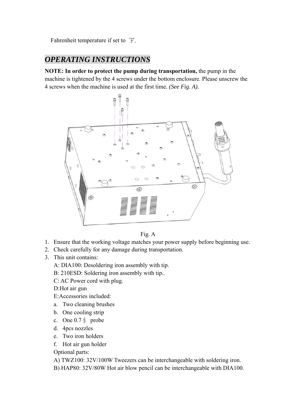Fahrenheit temperature if set to <sup>°</sup>F.

# *OPERATING INSTRUCTIONS*

**NOTE: In order to protect the pump during transportation,** the pump in the machine is tightened by the 4 screws under the bottom enclosure. Please unscrew the 4 screws when the machine is used at the first time*. (See Fig. A).* 



Fig. A

- 1. Ensure that the working voltage matches your power supply before beginning use.
- 2. Check carefully for any damage during transportation.
- 3. This unit contains:

A: DIA100: Desoldering iron assembly with tip.

B: 210ESD: Soldering iron assembly with tip..

C: AC Power cord with plug.

D:Hot air gun

- E:Accessories included:
- a. Two cleaning brushes
- b. One cooling strip
- c. One 0.7∮ probe
- d. 4pcs nozzles
- e. Two iron holders
- f. Hot air gun holder

Optional parts:

A) TWZ100: 32V/100W Tweezers can be interchangeable with soldering iron.

B) HAP80: 32V/80W Hot air blow pencil can be interchangeable with DIA100.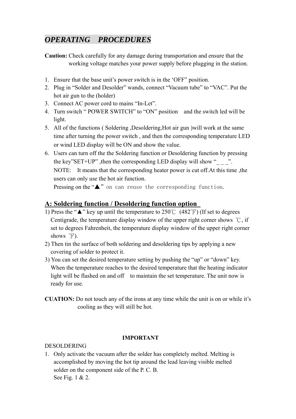# *OPERATING PROCEDURES*

**Caution:** Check carefully for any damage during transportation and ensure that the working voltage matches your power supply before plugging in the station.

- 1. Ensure that the base unit's power switch is in the 'OFF" position.
- 2. Plug in "Solder and Desolder" wands, connect "Vacuum tube" to "VAC". Put the hot air gun to the (holder)
- 3. Connect AC power cord to mains "In-Let".
- 4. Turn switch " POWER SWITCH" to "ON" position and the switch led will be light.
- 5. All of the functions ( Soldering ,Desoldering,Hot air gun )will work at the same time after turning the power switch , and then the corresponding temperature LED or wind LED display will be ON and show the value.
- 6. Users can turn off the the Soldering function or Desoldering function by pressing the key"SET+UP" ,then the corresponding LED display will show "\_\_\_ ". NOTE: It means that the corresponding heater power is cut off.At this time ,the users can only use the hot air function.

Pressing on the "▲"on can reuse the corresponding function.

# **A: Soldering function / Desoldering function option**

- 1) Press the " $\triangle$ " key up until the temperature to 250°C (482°F) (If set to degrees Centigrade, the temperature display window of the upper right corner shows ℃, if set to degrees Fahrenheit, the temperature display window of the upper right corner shows  $\degree$ F).
- 2) Then tin the surface of both soldering and desoldering tips by applying a new covering of solder to protect it.
- 3) You can set the desired temperature setting by pushing the "up" or "down" key. When the temperature reaches to the desired temperature that the heating indicator light will be flashed on and off to maintain the set temperature. The unit now is ready for use.
- **CUATION:** Do not touch any of the irons at any time while the unit is on or while it's cooling as they will still be hot.

#### **IMPORTANT**

## DESOLDERING

1. Only activate the vacuum after the solder has completely melted. Melting is accomplished by moving the hot tip around the lead leaving visible melted solder on the component side of the P. C. B. See Fig. 1 & 2.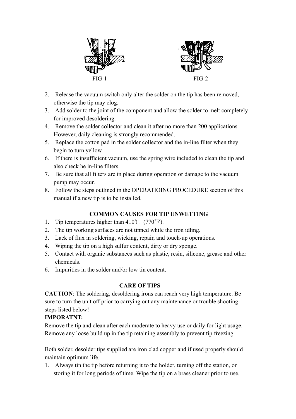

- 2. Release the vacuum switch only alter the solder on the tip has been removed, otherwise the tip may clog.
- 3. Add solder to the joint of the component and allow the solder to melt completely for improved desoldering.
- 4. Remove the solder collector and clean it after no more than 200 applications. However, daily cleaning is strongly recommended.
- 5. Replace the cotton pad in the solder collector and the in-line filter when they begin to turn yellow.
- 6. If there is insufficient vacuum, use the spring wire included to clean the tip and also check he in-line filters.
- 7. Be sure that all filters are in place during operation or damage to the vacuum pump may occur.
- 8. Follow the steps outlined in the OPERATIOING PROCEDURE section of this manual if a new tip is to be installed.

# **COMMON CAUSES FOR TIP UNWETTING**

- 1. Tip temperatures higher than  $410^{\circ}$  (770 $^{\circ}$ F).
- 2. The tip working surfaces are not tinned while the iron idling.
- 3. Lack of flux in soldering, wicking, repair, and touch-up operations.
- 4. Wiping the tip on a high sulfur content, dirty or dry sponge.
- 5. Contact with organic substances such as plastic, resin, silicone, grease and other chemicals.
- 6. Impurities in the solder and/or low tin content.

## **CARE OF TIPS**

**CAUTION**: The soldering, desoldering irons can reach very high temperature. Be sure to turn the unit off prior to carrying out any maintenance or trouble shooting steps listed below!

# **IMPORATNT:**

Remove the tip and clean after each moderate to heavy use or daily for light usage. Remove any loose build up in the tip retaining assembly to prevent tip freezing.

Both solder, desolder tips supplied are iron clad copper and if used properly should maintain optimum life.

1. Always tin the tip before returning it to the holder, turning off the station, or storing it for long periods of time. Wipe the tip on a brass cleaner prior to use.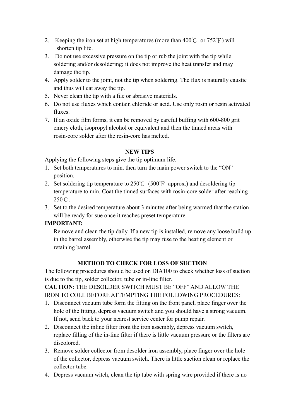- 2. Keeping the iron set at high temperatures (more than  $400^{\circ}$  or  $752^{\circ}$ F) will shorten tip life.
- 3. Do not use excessive pressure on the tip or rub the joint with the tip while soldering and/or desoldering; it does not improve the heat transfer and may damage the tip.
- 4. Apply solder to the joint, not the tip when soldering. The flux is naturally caustic and thus will eat away the tip.
- 5. Never clean the tip with a file or abrasive materials.
- 6. Do not use fluxes which contain chloride or acid. Use only rosin or resin activated fluxes.
- 7. If an oxide film forms, it can be removed by careful buffing with 600-800 grit emery cloth, isopropyl alcohol or equivalent and then the tinned areas with rosin-core solder after the resin-core has melted.

#### **NEW TIPS**

Applying the following steps give the tip optimum life.

- 1. Set both temperatures to min. then turn the main power switch to the "ON" position.
- 2. Set soldering tip temperature to  $250^{\circ}$  (500 $^{\circ}$ F approx.) and desoldering tip temperature to min. Coat the tinned surfaces with rosin-core solder after reaching  $250^{\circ}$ C.
- 3. Set to the desired temperature about 3 minutes after being warmed that the station will be ready for sue once it reaches preset temperature.

## **IMPORTANT:**

Remove and clean the tip daily. If a new tip is installed, remove any loose build up in the barrel assembly, otherwise the tip may fuse to the heating element or retaining barrel.

#### **METHOD TO CHECK FOR LOSS OF SUCTION**

The following procedures should be used on DIA100 to check whether loss of suction is due to the tip, solder collector, tube or in-line filter.

**CAUTION**: THE DESOLDER SWITCH MUST BE "OFF" AND ALLOW THE IRON TO COLL BEFORE ATTEMPTING THE FOLLOWING PROCEDURES:

- 1. Disconnect vacuum tube form the fitting on the front panel, place finger over the hole of the fitting, depress vacuum switch and you should have a strong vacuum. If not, send back to your nearest service center for pump repair.
- 2. Disconnect the inline filter from the iron assembly, depress vacuum switch, replace filling of the in-line filter if there is little vacuum pressure or the filters are discolored.
- 3. Remove solder collector from desolder iron assembly, place finger over the hole of the collector, depress vacuum switch. There is little suction clean or replace the collector tube.
- 4. Depress vacuum witch, clean the tip tube with spring wire provided if there is no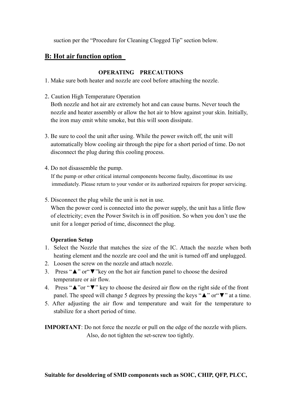suction per the "Procedure for Cleaning Clogged Tip" section below.

# **B: Hot air function option**

## **OPERATING PRECAUTIONS**

1. Make sure both heater and nozzle are cool before attaching the nozzle.

2. Caution High Temperature Operation

Both nozzle and hot air are extremely hot and can cause burns. Never touch the nozzle and heater assembly or allow the hot air to blow against your skin. Initially, the iron may emit white smoke, but this will soon dissipate.

- 3. Be sure to cool the unit after using. While the power switch off, the unit will automatically blow cooling air through the pipe for a short period of time. Do not disconnect the plug during this cooling process.
- 4. Do not disassemble the pump.

 If the pump or other critical internal components become faulty, discontinue its use immediately. Please return to your vendor or its authorized repairers for proper servicing.

5. Disconnect the plug while the unit is not in use.

When the power cord is connected into the power supply, the unit has a little flow of electricity; even the Power Switch is in off position. So when you don't use the unit for a longer period of time, disconnect the plug.

## **Operation Setup**

- 1. Select the Nozzle that matches the size of the IC. Attach the nozzle when both heating element and the nozzle are cool and the unit is turned off and unplugged.
- 2. Loosen the screw on the nozzle and attach nozzle.
- 3. Press "▲" or"▼"key on the hot air function panel to choose the desired temperature or air flow.
- 4. Press "▲"or "▼" key to choose the desired air flow on the right side of the front panel. The speed will change 5 degrees by pressing the keys "▲" or"▼" at a time.
- 5. After adjusting the air flow and temperature and wait for the temperature to stabilize for a short period of time.

**IMPORTANT**: Do not force the nozzle or pull on the edge of the nozzle with pliers. Also, do not tighten the set-screw too tightly.

**Suitable for desoldering of SMD components such as SOIC, CHIP, QFP, PLCC,**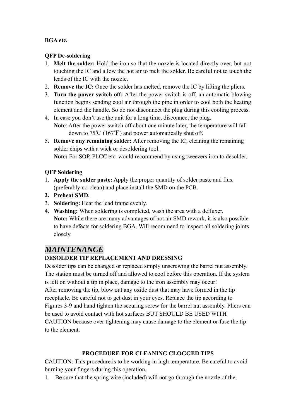#### **BGA etc.**

## **QFP De-soldering**

- 1. **Melt the solder:** Hold the iron so that the nozzle is located directly over, but not touching the IC and allow the hot air to melt the solder. Be careful not to touch the leads of the IC with the nozzle.
- 2. **Remove the IC:** Once the solder has melted, remove the IC by lifting the pliers.
- 3. **Turn the power switch off:** After the power switch is off, an automatic blowing function begins sending cool air through the pipe in order to cool both the heating element and the handle. So do not disconnect the plug during this cooling process.
- 4. In case you don't use the unit for a long time, disconnect the plug. **Note**: After the power switch off about one minute later, the temperature will fall down to  $75^{\circ}$ C (167 $^{\circ}$ F) and power automatically shut off.
- 5. **Remove any remaining solder:** After removing the IC, cleaning the remaining solder chips with a wick or desoldering tool.

**Note:** For SOP, PLCC etc. would recommend by using tweezers iron to desolder.

#### **QFP Soldering**

- 1. **Apply the solder paste:** Apply the proper quantity of solder paste and flux (preferably no-clean) and place install the SMD on the PCB.
- **2. Preheat SMD.**
- 3. **Soldering:** Heat the lead frame evenly.
- 4. **Washing:** When soldering is completed, wash the area with a defluxer. **Note:** While there are many advantages of hot air SMD rework, it is also possible to have defects for soldering BGA. Will recommend to inspect all soldering joints closely.

# *MAINTENANCE*

## **DESOLDER TIP REPLACEMENT AND DRESSING**

Desolder tips can be changed or replaced simply unscrewing the barrel nut assembly. The station must be turned off and allowed to cool before this operation. If the system is left on without a tip in place, damage to the iron assembly may occur! After removing the tip, blow out any oxide dust that may have formed in the tip receptacle. Be careful not to get dust in your eyes. Replace the tip according to Figures 3-9 and hand tighten the securing screw for the barrel nut assembly. Pliers can be used to avoid contact with hot surfaces BUT SHOULD BE USED WITH CAUTION because over tightening may cause damage to the element or fuse the tip to the element.

## **PROCEDURE FOR CLEANING CLOGGED TIPS**

CAUTION: This procedure is to be working in high temperature. Be careful to avoid burning your fingers during this operation.

1. Be sure that the spring wire (included) will not go through the nozzle of the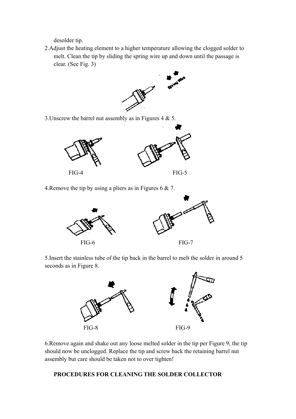desolder tip.

2.Adjust the heating element to a higher temperature allowing the clogged solder to melt. Clean the tip by sliding the spring wire up and down until the passage is clear. (See Fig. 3)



3. Unscrew the barrel nut assembly as in Figures 4 & 5.



4.Remove the tip by using a pliers as in Figures 6 & 7.



5.Insert the stainless tube of the tip back in the barrel to melt the solder in around 5 seconds as in Figure 8.



6.Remove again and shake out any loose melted solder in the tip per Figure 9, the tip should now be unclogged. Replace the tip and screw back the retaining barrel nut assembly but care should be taken not to over tighten!

#### **PROCEDURES FOR CLEANING THE SOLDER COLLECTOR**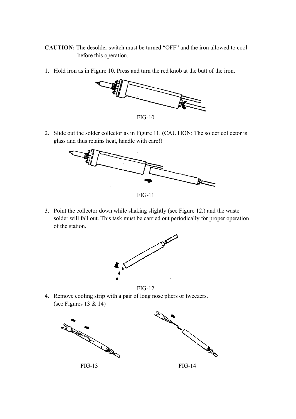- **CAUTION:** The desolder switch must be turned "OFF" and the iron allowed to cool before this operation.
- 1. Hold iron as in Figure 10. Press and turn the red knob at the butt of the iron.



FIG-10

2. Slide out the solder collector as in Figure 11. (CAUTION: The solder collector is glass and thus retains heat, handle with care!)



FIG-11

3. Point the collector down while shaking slightly (see Figure 12.) and the waste solder will fall out. This task must be carried out periodically for proper operation of the station.



FIG-12

4. Remove cooling strip with a pair of long nose pliers or tweezers. (see Figures 13 & 14)

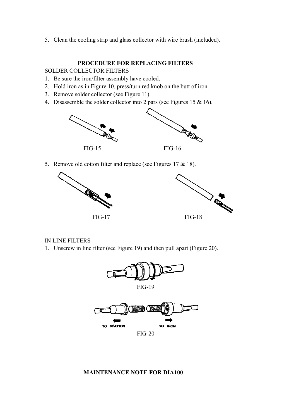5. Clean the cooling strip and glass collector with wire brush (included).

#### **PROCEDURE FOR REPLACING FILTERS**

SOLDER COLLECTOR FILTERS

- 1. Be sure the iron/filter assembly have cooled.
- 2. Hold iron as in Figure 10, press/turn red knob on the butt of iron.
- 3. Remove solder collector (see Figure 11).
- 4. Disassemble the solder collector into 2 pars (see Figures 15 & 16).



5. Remove old cotton filter and replace (see Figures 17 & 18).



#### IN LINE FILTERS

1. Unscrew in line filter (see Figure 19) and then pull apart (Figure 20).



#### **MAINTENANCE NOTE FOR DIA100**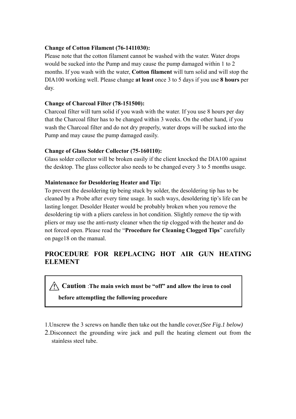#### **Change of Cotton Filament (76-1411030):**

Please note that the cotton filament cannot be washed with the water. Water drops would be sucked into the Pump and may cause the pump damaged within 1 to 2 months. If you wash with the water, **Cotton filament** will turn solid and will stop the DIA100 working well. Please change **at least** once 3 to 5 days if you use **8 hours** per day.

#### **Change of Charcoal Filter (78-151500):**

Charcoal filter will turn solid if you wash with the water. If you use 8 hours per day that the Charcoal filter has to be changed within 3 weeks. On the other hand, if you wash the Charcoal filter and do not dry properly, water drops will be sucked into the Pump and may cause the pump damaged easily.

#### **Change of Glass Solder Collector (75-160110):**

Glass solder collector will be broken easily if the client knocked the DIA100 against the desktop. The glass collector also needs to be changed every 3 to 5 months usage.

#### **Maintenance for Desoldering Heater and Tip:**

To prevent the desoldering tip being stuck by solder, the desoldering tip has to be cleaned by a Probe after every time usage. In such ways, desoldering tip's life can be lasting longer. Desolder Heater would be probably broken when you remove the desoldering tip with a pliers careless in hot condition. Slightly remove the tip with pliers or may use the anti-rusty cleaner when the tip clogged with the heater and do not forced open. Please read the "**Procedure for Cleaning Clogged Tips**" carefully on page18 on the manual.

# **PROCEDURE FOR REPLACING HOT AIR GUN HEATING ELEMENT**

**Caution** :**The main swich must be "off" and allow the iron to cool** 

## **before attemptling the following procedure**

- 1.Unscrew the 3 screws on handle then take out the handle cover.*(See Fig.1 below)*
- 2.Disconnect the grounding wire jack and pull the heating element out from the stainless steel tube.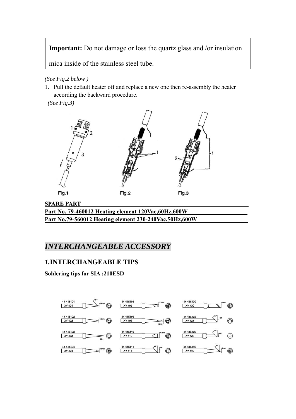**Important:** Do not damage or loss the quartz glass and /or insulation

mica inside of the stainless steel tube.

*(See Fig.2 below )*

1. Pull the default heater off and replace a new one then re-assembly the heater according the backward procedure.

 *(See Fig.3)* 



**SPARE PART Part No. 79-460012 Heating element 120Vac,60Hz,600W Part No.79-560012 Heating element 230-240Vac,50Hz,600W** 

# *INTERCHANGEABLE ACCESSORY*

# *1.***INTERCHANGEABLE TIPS**

**Soldering tips for SIA :210ESD**